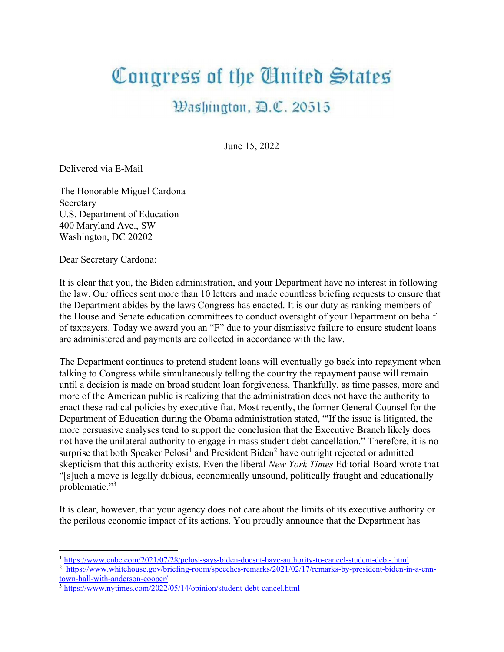## Congress of the United States

## Washington, D.C. 20515

June 15, 2022

Delivered via E-Mail

The Honorable Miguel Cardona Secretary U.S. Department of Education 400 Maryland Ave., SW Washington, DC 20202

Dear Secretary Cardona:

It is clear that you, the Biden administration, and your Department have no interest in following the law. Our offices sent more than 10 letters and made countless briefing requests to ensure that the Department abides by the laws Congress has enacted. It is our duty as ranking members of the House and Senate education committees to conduct oversight of your Department on behalf of taxpayers. Today we award you an "F" due to your dismissive failure to ensure student loans are administered and payments are collected in accordance with the law.

The Department continues to pretend student loans will eventually go back into repayment when talking to Congress while simultaneously telling the country the repayment pause will remain until a decision is made on broad student loan forgiveness. Thankfully, as time passes, more and more of the American public is realizing that the administration does not have the authority to enact these radical policies by executive fiat. Most recently, the former General Counsel for the Department of Education during the Obama administration stated, "'If the issue is litigated, the more persuasive analyses tend to support the conclusion that the Executive Branch likely does not have the unilateral authority to engage in mass student debt cancellation." Therefore, it is no surprise that both Speaker Pelosi<sup>1</sup> and President Biden<sup>2</sup> have outright rejected or admitted skepticism that this authority exists. Even the liberal New York Times Editorial Board wrote that "[s]uch a move is legally dubious, economically unsound, politically fraught and educationally problematic."<sup>3</sup>

It is clear, however, that your agency does not care about the limits of its executive authority or the perilous economic impact of its actions. You proudly announce that the Department has

<sup>1</sup> https://www.cnbc.com/2021/07/28/pelosi-says-biden-doesnt-have-authority-to-cancel-student-debt-.html

<sup>2</sup> https://www.whitehouse.gov/briefing-room/speeches-remarks/2021/02/17/remarks-by-president-biden-in-a-cnntown-hall-with-anderson-cooper/

 $3$  https://www.nytimes.com/2022/05/14/opinion/student-debt-cancel.html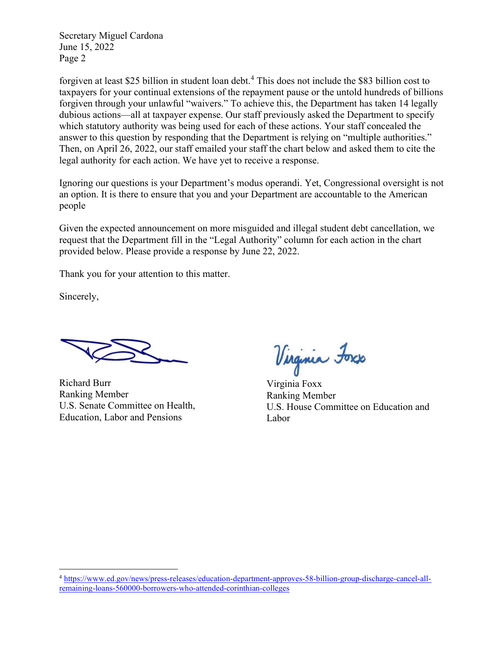Secretary Miguel Cardona June 15, 2022 Page 2

forgiven at least \$25 billion in student loan debt.<sup>4</sup> This does not include the \$83 billion cost to taxpayers for your continual extensions of the repayment pause or the untold hundreds of billions forgiven through your unlawful "waivers." To achieve this, the Department has taken 14 legally dubious actions—all at taxpayer expense. Our staff previously asked the Department to specify which statutory authority was being used for each of these actions. Your staff concealed the answer to this question by responding that the Department is relying on "multiple authorities." Then, on April 26, 2022, our staff emailed your staff the chart below and asked them to cite the legal authority for each action. We have yet to receive a response.

Ignoring our questions is your Department's modus operandi. Yet, Congressional oversight is not an option. It is there to ensure that you and your Department are accountable to the American people

Given the expected announcement on more misguided and illegal student debt cancellation, we request that the Department fill in the "Legal Authority" column for each action in the chart provided below. Please provide a response by June 22, 2022.

Thank you for your attention to this matter.

Sincerely,

Richard Burr Ranking Member U.S. Senate Committee on Health, Education, Labor and Pensions

Virginia Foxs

Virginia Foxx Ranking Member U.S. House Committee on Education and Labor

<sup>4</sup> https://www.ed.gov/news/press-releases/education-department-approves-58-billion-group-discharge-cancel-allremaining-loans-560000-borrowers-who-attended-corinthian-colleges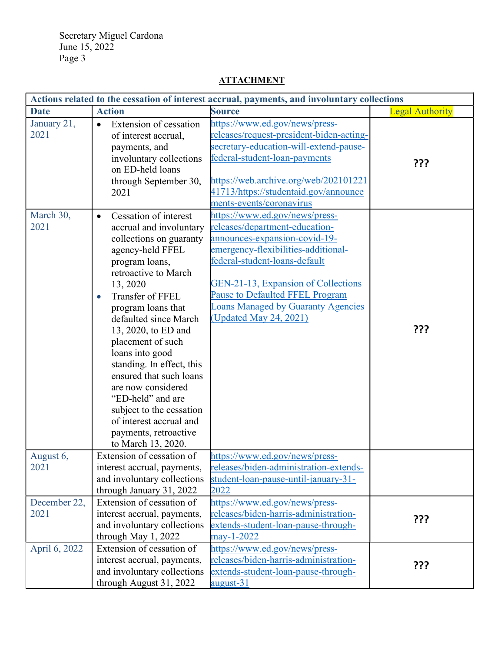Secretary Miguel Cardona June 15, 2022 Page 3

## Actions related to the cessation of interest accrual, payments, and involuntary collections **Date** Action Source Source Legal Authority January 21, 2021 • Extension of cessation of interest accrual, payments, and involuntary collections on ED-held loans through September 30, 2021 https://www.ed.gov/news/pressreleases/request-president-biden-actingsecretary-education-will-extend-pausefederal-student-loan-payments https://web.archive.org/web/202101221 41713/https://studentaid.gov/announce ments-events/coronavirus ??? March 30, 2021 • Cessation of interest accrual and involuntary collections on guaranty agency-held FFEL program loans, retroactive to March 13, 2020 • Transfer of FFEL program loans that defaulted since March 13, 2020, to ED and placement of such loans into good standing. In effect, this ensured that such loans are now considered "ED-held" and are subject to the cessation of interest accrual and payments, retroactive to March 13, 2020. https://www.ed.gov/news/pressreleases/department-educationannounces-expansion-covid-19 emergency-flexibilities-additionalfederal-student-loans-default GEN-21-13, Expansion of Collections Pause to Defaulted FFEL Program Loans Managed by Guaranty Agencies (Updated May 24, 2021) ??? August 6, 2021 Extension of cessation of interest accrual, payments, and involuntary collections through January 31, 2022 https://www.ed.gov/news/pressreleases/biden-administration-extendsstudent-loan-pause-until-january-31- 2022 December 22, 2021 Extension of cessation of interest accrual, payments, and involuntary collections through May 1, 2022 https://www.ed.gov/news/pressreleases/biden-harris-administrationextends-student-loan-pause-throughmay-1-2022 ??? April 6, 2022 Extension of cessation of interest accrual, payments, and involuntary collections through August 31, 2022 https://www.ed.gov/news/pressreleases/biden-harris-administrationextends-student-loan-pause-throughaugust-31 ???

## ATTACHMENT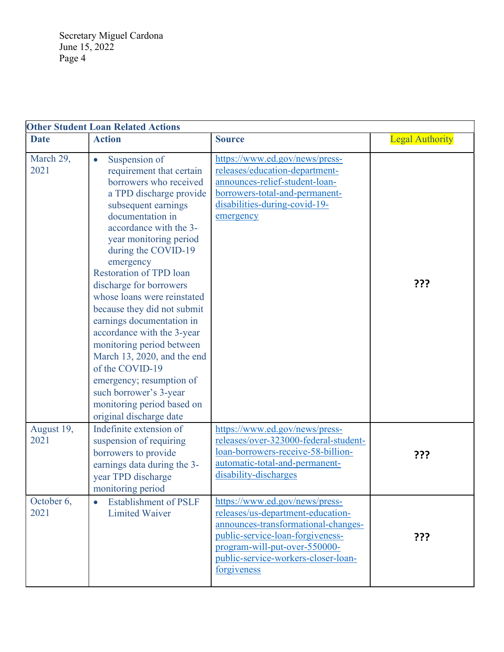Secretary Miguel Cardona June 15, 2022 Page 4

| <b>Other Student Loan Related Actions</b> |                                                                                                                                                                                                                                                                                                                                                                                                                                                                                                                                                                                                                       |                                                                                                                                                                                                                                       |                        |  |  |
|-------------------------------------------|-----------------------------------------------------------------------------------------------------------------------------------------------------------------------------------------------------------------------------------------------------------------------------------------------------------------------------------------------------------------------------------------------------------------------------------------------------------------------------------------------------------------------------------------------------------------------------------------------------------------------|---------------------------------------------------------------------------------------------------------------------------------------------------------------------------------------------------------------------------------------|------------------------|--|--|
| <b>Date</b>                               | <b>Action</b>                                                                                                                                                                                                                                                                                                                                                                                                                                                                                                                                                                                                         | <b>Source</b>                                                                                                                                                                                                                         | <b>Legal Authority</b> |  |  |
| March 29,<br>2021                         | Suspension of<br>requirement that certain<br>borrowers who received<br>a TPD discharge provide<br>subsequent earnings<br>documentation in<br>accordance with the 3-<br>year monitoring period<br>during the COVID-19<br>emergency<br><b>Restoration of TPD loan</b><br>discharge for borrowers<br>whose loans were reinstated<br>because they did not submit<br>earnings documentation in<br>accordance with the 3-year<br>monitoring period between<br>March 13, 2020, and the end<br>of the COVID-19<br>emergency; resumption of<br>such borrower's 3-year<br>monitoring period based on<br>original discharge date | https://www.ed.gov/news/press-<br>releases/education-department-<br>announces-relief-student-loan-<br>borrowers-total-and-permanent-<br>disabilities-during-covid-19-<br>emergency                                                    | ???                    |  |  |
| August 19,<br>2021                        | Indefinite extension of<br>suspension of requiring<br>borrowers to provide<br>earnings data during the 3-<br>year TPD discharge<br>monitoring period                                                                                                                                                                                                                                                                                                                                                                                                                                                                  | https://www.ed.gov/news/press-<br>releases/over-323000-federal-student-<br>loan-borrowers-receive-58-billion-<br>automatic-total-and-permanent-<br>disability-discharges                                                              | ???                    |  |  |
| October 6,<br>2021                        | <b>Establishment of PSLF</b><br>$\bullet$<br><b>Limited Waiver</b>                                                                                                                                                                                                                                                                                                                                                                                                                                                                                                                                                    | https://www.ed.gov/news/press-<br>releases/us-department-education-<br>announces-transformational-changes-<br>public-service-loan-forgiveness-<br>program-will-put-over-550000-<br>public-service-workers-closer-loan-<br>forgiveness | ???                    |  |  |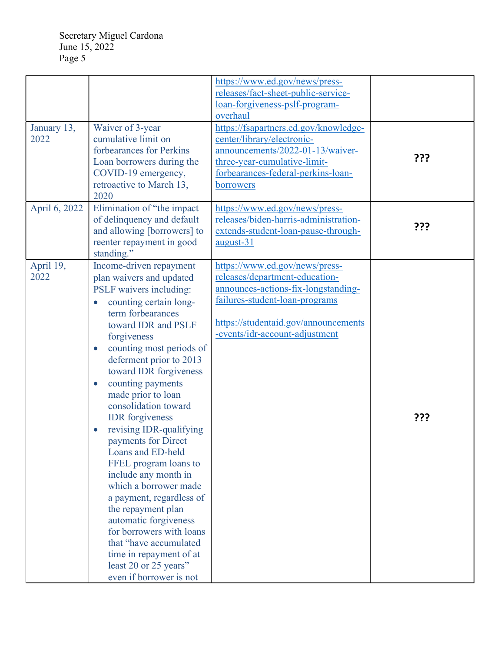|                     |                                                                                                                                                                                                                                                                                                                                                                                                                                                                                                                                                                                                                                                                                                                                                           | https://www.ed.gov/news/press-<br>releases/fact-sheet-public-service-<br>loan-forgiveness-pslf-program-<br>overhaul                                                                                                 |     |
|---------------------|-----------------------------------------------------------------------------------------------------------------------------------------------------------------------------------------------------------------------------------------------------------------------------------------------------------------------------------------------------------------------------------------------------------------------------------------------------------------------------------------------------------------------------------------------------------------------------------------------------------------------------------------------------------------------------------------------------------------------------------------------------------|---------------------------------------------------------------------------------------------------------------------------------------------------------------------------------------------------------------------|-----|
| January 13,<br>2022 | Waiver of 3-year<br>cumulative limit on<br>forbearances for Perkins<br>Loan borrowers during the<br>COVID-19 emergency,<br>retroactive to March 13,<br>2020                                                                                                                                                                                                                                                                                                                                                                                                                                                                                                                                                                                               | https://fsapartners.ed.gov/knowledge-<br>center/library/electronic-<br>announcements/2022-01-13/waiver-<br>three-year-cumulative-limit-<br>forbearances-federal-perkins-loan-<br>borrowers                          | ??? |
| April 6, 2022       | Elimination of "the impact<br>of delinquency and default<br>and allowing [borrowers] to<br>reenter repayment in good<br>standing."                                                                                                                                                                                                                                                                                                                                                                                                                                                                                                                                                                                                                        | https://www.ed.gov/news/press-<br>releases/biden-harris-administration-<br>extends-student-loan-pause-through-<br>august-31                                                                                         | ??? |
| April 19,<br>2022   | Income-driven repayment<br>plan waivers and updated<br>PSLF waivers including:<br>counting certain long-<br>$\bullet$<br>term forbearances<br>toward IDR and PSLF<br>forgiveness<br>counting most periods of<br>$\bullet$<br>deferment prior to 2013<br>toward IDR forgiveness<br>counting payments<br>$\bullet$<br>made prior to loan<br>consolidation toward<br><b>IDR</b> forgiveness<br>revising IDR-qualifying<br>payments for Direct<br>Loans and ED-held<br>FFEL program loans to<br>include any month in<br>which a borrower made<br>a payment, regardless of<br>the repayment plan<br>automatic forgiveness<br>for borrowers with loans<br>that "have accumulated<br>time in repayment of at<br>least 20 or 25 years"<br>even if borrower is not | https://www.ed.gov/news/press-<br>releases/department-education-<br>announces-actions-fix-longstanding-<br>failures-student-loan-programs<br>https://studentaid.gov/announcements<br>-events/idr-account-adjustment | ??? |